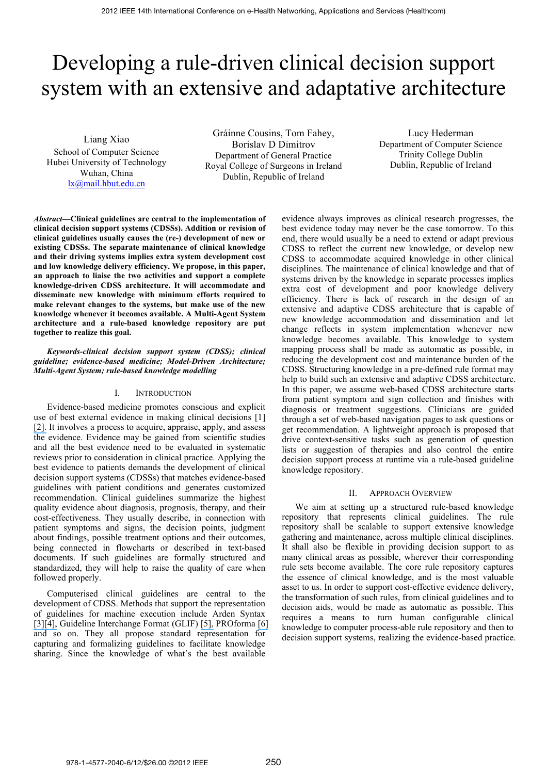# Developing a rule-driven clinical decision support system with an extensive and adaptative architecture

Liang Xiao School of Computer Science Hubei University of Technology Wuhan, China lx@mail.hbut.edu.cn

Gráinne Cousins, Tom Fahey, Borislav D Dimitrov Department of General Practice Royal College of Surgeons in Ireland Dublin, Republic of Ireland

Lucy Hederman Department of Computer Science Trinity College Dublin Dublin, Republic of Ireland

*Abstract***—Clinical guidelines are central to the implementation of clinical decision support systems (CDSSs). Addition or revision of clinical guidelines usually causes the (re-) development of new or existing CDSSs. The separate maintenance of clinical knowledge and their driving systems implies extra system development cost and low knowledge delivery efficiency. We propose, in this paper, an approach to liaise the two activities and support a complete knowledge-driven CDSS architecture. It will accommodate and disseminate new knowledge with minimum efforts required to make relevant changes to the systems, but make use of the new knowledge whenever it becomes available. A Multi-Agent System architecture and a rule-based knowledge repository are put together to realize this goal.** 

*Keywords-clinical decision support system (CDSS); clinical guideline; evidence-based medicine; Model-Driven Architecture; Multi-Agent System; rule-based knowledge modelling*

## I. INTRODUCTION

Evidence-based medicine promotes conscious and explicit use of best external evidence in making clinical decisions [1] [\[2\].](https://www.researchgate.net/publication/8084650_The_Promises_And_Pitfalls_Of_Evidence-Based_Medicine?el=1_x_8&enrichId=rgreq-8133f183-0e6b-49bc-8519-b925ff500961&enrichSource=Y292ZXJQYWdlOzI2MTA1MTAyMjtBUzoyMDA3NDQxNDI2NzU5NjhAMTQyNDg3MjU0MTM3OA==) It involves a process to acquire, appraise, apply, and assess the evidence. Evidence may be gained from scientific studies and all the best evidence need to be evaluated in systematic reviews prior to consideration in clinical practice. Applying the best evidence to patients demands the development of clinical decision support systems (CDSSs) that matches evidence-based guidelines with patient conditions and generates customized recommendation. Clinical guidelines summarize the highest quality evidence about diagnosis, prognosis, therapy, and their cost-effectiveness. They usually describe, in connection with patient symptoms and signs, the decision points, judgment about findings, possible treatment options and their outcomes, being connected in flowcharts or described in text-based documents. If such guidelines are formally structured and standardized, they will help to raise the quality of care when followed properly.

Computerised clinical guidelines are central to the development of CDSS. Methods that support the representation of guidelines for machine execution include Arden Syntax [\[3\]\[4\],](https://www.researchgate.net/publication/15494239_Writing_Arden_Syntax_Medical_Logic_Modules?el=1_x_8&enrichId=rgreq-8133f183-0e6b-49bc-8519-b925ff500961&enrichSource=Y292ZXJQYWdlOzI2MTA1MTAyMjtBUzoyMDA3NDQxNDI2NzU5NjhAMTQyNDg3MjU0MTM3OA==) Guideline Interchange Format (GLIF) [\[5\],](https://www.researchgate.net/publication/2642423_GLIF3_The_Evolution_of_a_Guideline_Representation_Format?el=1_x_8&enrichId=rgreq-8133f183-0e6b-49bc-8519-b925ff500961&enrichSource=Y292ZXJQYWdlOzI2MTA1MTAyMjtBUzoyMDA3NDQxNDI2NzU5NjhAMTQyNDg3MjU0MTM3OA==) PROforma [\[6\]](https://www.researchgate.net/publication/10707000_The_Syntax_and_Semantics_of_the_PROforma_Guideline_Modeling_Language?el=1_x_8&enrichId=rgreq-8133f183-0e6b-49bc-8519-b925ff500961&enrichSource=Y292ZXJQYWdlOzI2MTA1MTAyMjtBUzoyMDA3NDQxNDI2NzU5NjhAMTQyNDg3MjU0MTM3OA==) and so on. They all propose standard representation for capturing and formalizing guidelines to facilitate knowledge sharing. Since the knowledge of what's the best available

evidence always improves as clinical research progresses, the best evidence today may never be the case tomorrow. To this end, there would usually be a need to extend or adapt previous CDSS to reflect the current new knowledge, or develop new CDSS to accommodate acquired knowledge in other clinical disciplines. The maintenance of clinical knowledge and that of systems driven by the knowledge in separate processes implies extra cost of development and poor knowledge delivery efficiency. There is lack of research in the design of an extensive and adaptive CDSS architecture that is capable of new knowledge accommodation and dissemination and let change reflects in system implementation whenever new knowledge becomes available. This knowledge to system mapping process shall be made as automatic as possible, in reducing the development cost and maintenance burden of the CDSS. Structuring knowledge in a pre-defined rule format may help to build such an extensive and adaptive CDSS architecture. In this paper, we assume web-based CDSS architecture starts from patient symptom and sign collection and finishes with diagnosis or treatment suggestions. Clinicians are guided through a set of web-based navigation pages to ask questions or get recommendation. A lightweight approach is proposed that drive context-sensitive tasks such as generation of question lists or suggestion of therapies and also control the entire decision support process at runtime via a rule-based guideline knowledge repository.

## II. APPROACH OVERVIEW

We aim at setting up a structured rule-based knowledge repository that represents clinical guidelines. The rule repository shall be scalable to support extensive knowledge gathering and maintenance, across multiple clinical disciplines. It shall also be flexible in providing decision support to as many clinical areas as possible, wherever their corresponding rule sets become available. The core rule repository captures the essence of clinical knowledge, and is the most valuable asset to us. In order to support cost-effective evidence delivery, the transformation of such rules, from clinical guidelines and to decision aids, would be made as automatic as possible. This requires a means to turn human configurable clinical knowledge to computer process-able rule repository and then to decision support systems, realizing the evidence-based practice.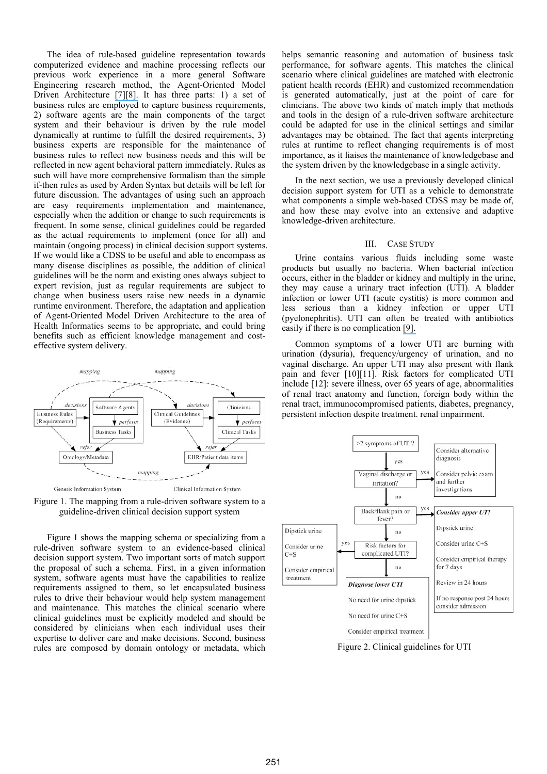The idea of rule-based guideline representation towards computerized evidence and machine processing reflects our previous work experience in a more general Software Engineering research method, the Agent-Oriented Model Driven Architecture [\[7\]\[8\].](https://www.researchgate.net/publication/220393116_Towards_agent-oriented_model-driven_architecture?el=1_x_8&enrichId=rgreq-8133f183-0e6b-49bc-8519-b925ff500961&enrichSource=Y292ZXJQYWdlOzI2MTA1MTAyMjtBUzoyMDA3NDQxNDI2NzU5NjhAMTQyNDg3MjU0MTM3OA==) It has three parts: 1) a set of business rules are employed to capture business requirements, 2) software agents are the main components of the target system and their behaviour is driven by the rule model dynamically at runtime to fulfill the desired requirements, 3) business experts are responsible for the maintenance of business rules to reflect new business needs and this will be reflected in new agent behavioral pattern immediately. Rules as such will have more comprehensive formalism than the simple if-then rules as used by Arden Syntax but details will be left for future discussion. The advantages of using such an approach are easy requirements implementation and maintenance, especially when the addition or change to such requirements is frequent. In some sense, clinical guidelines could be regarded as the actual requirements to implement (once for all) and maintain (ongoing process) in clinical decision support systems. If we would like a CDSS to be useful and able to encompass as many disease disciplines as possible, the addition of clinical guidelines will be the norm and existing ones always subject to expert revision, just as regular requirements are subject to change when business users raise new needs in a dynamic runtime environment. Therefore, the adaptation and application of Agent-Oriented Model Driven Architecture to the area of Health Informatics seems to be appropriate, and could bring benefits such as efficient knowledge management and costeffective system delivery.



Figure 1. The mapping from a rule-driven software system to a guideline-driven clinical decision support system

Figure 1 shows the mapping schema or specializing from a rule-driven software system to an evidence-based clinical decision support system. Two important sorts of match support the proposal of such a schema. First, in a given information system, software agents must have the capabilities to realize requirements assigned to them, so let encapsulated business rules to drive their behaviour would help system management and maintenance. This matches the clinical scenario where clinical guidelines must be explicitly modeled and should be considered by clinicians when each individual uses their expertise to deliver care and make decisions. Second, business rules are composed by domain ontology or metadata, which helps semantic reasoning and automation of business task performance, for software agents. This matches the clinical scenario where clinical guidelines are matched with electronic patient health records (EHR) and customized recommendation is generated automatically, just at the point of care for clinicians. The above two kinds of match imply that methods and tools in the design of a rule-driven software architecture could be adapted for use in the clinical settings and similar advantages may be obtained. The fact that agents interpreting rules at runtime to reflect changing requirements is of most importance, as it liaises the maintenance of knowledgebase and the system driven by the knowledgebase in a single activity.

In the next section, we use a previously developed clinical decision support system for UTI as a vehicle to demonstrate what components a simple web-based CDSS may be made of, and how these may evolve into an extensive and adaptive knowledge-driven architecture.

#### III. CASE STUDY

Urine contains various fluids including some waste products but usually no bacteria. When bacterial infection occurs, either in the bladder or kidney and multiply in the urine, they may cause a urinary tract infection (UTI). A bladder infection or lower UTI (acute cystitis) is more common and less serious than a kidney infection or upper UTI (pyelonephritis). UTI can often be treated with antibiotics easily if there is no complication [\[9\].](https://www.researchgate.net/publication/47358510_Antimicrobial_agents_for_treating_uncomplicated_urinary_tract_infection_in_women?el=1_x_8&enrichId=rgreq-8133f183-0e6b-49bc-8519-b925ff500961&enrichSource=Y292ZXJQYWdlOzI2MTA1MTAyMjtBUzoyMDA3NDQxNDI2NzU5NjhAMTQyNDg3MjU0MTM3OA==)

Common symptoms of a lower UTI are burning with urination (dysuria), frequency/urgency of urination, and no vaginal discharge. An upper UTI may also present with flank pain and fever [10][11]. Risk factors for complicated UTI include [12]: severe illness, over 65 years of age, abnormalities of renal tract anatomy and function, foreign body within the renal tract, immunocompromised patients, diabetes, pregnancy, persistent infection despite treatment. renal impairment.



Figure 2. Clinical guidelines for UTI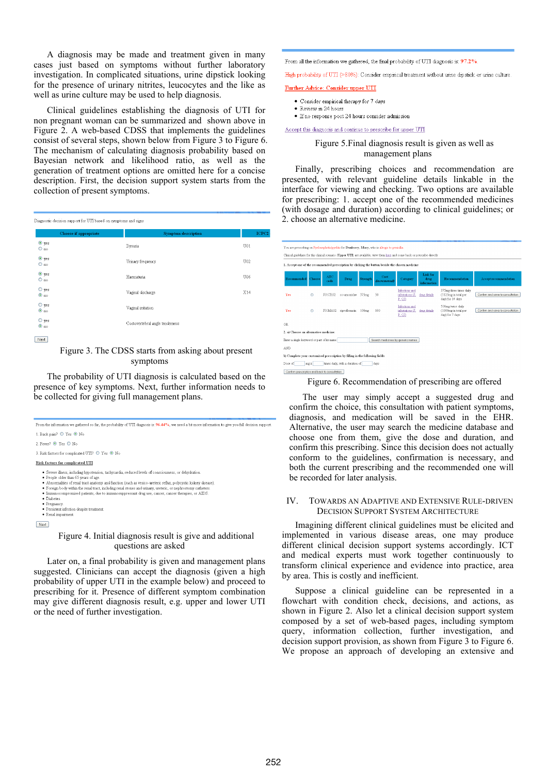A diagnosis may be made and treatment given in many cases just based on symptoms without further laboratory investigation. In complicated situations, urine dipstick looking for the presence of urinary nitrites, leucocytes and the like as well as urine culture may be used to help diagnosis.

Clinical guidelines establishing the diagnosis of UTI for non pregnant woman can be summarized and shown above in Figure 2. A web-based CDSS that implements the guidelines consist of several steps, shown below from Figure 3 to Figure 6. The mechanism of calculating diagnosis probability based on Bayesian network and likelihood ratio, as well as the generation of treatment options are omitted here for a concise description. First, the decision support system starts from the collection of present symptoms.

#### Diagnostic decision support for UTI based on symptoms and signs

| <b>Choose if appropriate</b> | <b>Symptom description</b>      | ICI |
|------------------------------|---------------------------------|-----|
| $\odot$ yes<br>$\circ$ no    | Dysuria                         | U01 |
| $\bullet$ yes<br>$\circ$ no  | Urinary frequency               | U02 |
| $\bullet$ yes<br>$\circ$ no  | Haematuria                      | U06 |
| $\bigcirc$ yes<br>$\odot$ no | Vaginal discharge               | X14 |
| $\bigcirc$ yes<br>$\odot$ no | Vaginal irritation              |     |
| $O$ yes<br>$\odot$ no        | Costovertebral angle tenderness |     |
| Next                         |                                 |     |

## Figure 3. The CDSS starts from asking about present symptoms

The probability of UTI diagnosis is calculated based on the presence of key symptoms. Next, further information needs to be collected for giving full management plans.

| From the information we gathered so far, the probability of UTI diagnosis is: 96.44%, we need a bit more information to give you full decision support.                                                                                                                                                                                                                                                                                                                                                                                                                                        |  |  |  |  |  |  |
|------------------------------------------------------------------------------------------------------------------------------------------------------------------------------------------------------------------------------------------------------------------------------------------------------------------------------------------------------------------------------------------------------------------------------------------------------------------------------------------------------------------------------------------------------------------------------------------------|--|--|--|--|--|--|
| 1. Back pain? O Yes O No.                                                                                                                                                                                                                                                                                                                                                                                                                                                                                                                                                                      |  |  |  |  |  |  |
| 2 Fever? O Yes O No.                                                                                                                                                                                                                                                                                                                                                                                                                                                                                                                                                                           |  |  |  |  |  |  |
| 3. Risk factors for complicated UTI7 O Yes <sup>®</sup> No                                                                                                                                                                                                                                                                                                                                                                                                                                                                                                                                     |  |  |  |  |  |  |
| Risk factors for complicated UTI                                                                                                                                                                                                                                                                                                                                                                                                                                                                                                                                                               |  |  |  |  |  |  |
| · Severe illness, including hypotension, tachycardia, reduced levels of consciousness, or dehydration.<br>. People older than 65 years of age.<br>. Abnormalities of renal tract anatomy and function (such as vesico-ureteric reflux, polycystic kidney disease).<br>· Foreign body within the renal tract, including renal stones and urinary, ureteric, or nephrostomy catheters.<br>· Immunocompromised patients, due to immunosuppressant drug use, cancer, cancer therapies, or AIDS.<br>· Diabetes.<br>· Pregnancy.<br>· Persistent infection despite treatment.<br>· Renal impairment. |  |  |  |  |  |  |
| Next<br>Figure 4. Initial diagnosis result is give and additional<br>questions are asked                                                                                                                                                                                                                                                                                                                                                                                                                                                                                                       |  |  |  |  |  |  |
| .                                                                                                                                                                                                                                                                                                                                                                                                                                                                                                                                                                                              |  |  |  |  |  |  |

Later on, a final probability is given and management plans suggested. Clinicians can accept the diagnosis (given a high probability of upper UTI in the example below) and proceed to prescribing for it. Presence of different symptom combination may give different diagnosis result, e.g. upper and lower UTI or the need of further investigation.

From all the information we gathered, the final probability of UTI diagnosis is: 97.2%.

High probability of UTI (>80%): Consider empirical treatment without urine dipstick or urine culture

#### **Further Advice: Consider upper UTI**

- Consider empirical therapy for 7 days
- Review in 24 hours · If no response post 24 hours consider admission

Accept this diagnosis and continue to prescribe for upper UTI

## Figure 5.Final diagnosis result is given as well as management plans

Finally, prescribing choices and recommendation are presented, with relevant guideline details linkable in the interface for viewing and checking. Two options are available for prescribing: 1. accept one of the recommended medicines (with dosage and duration) according to clinical guidelines; or 2. choose an alternative medicine.

| You are prescribing on Pyelonephritis/pyeltis for Dunleavy, Mary, who is allergic to penicilin                               |                                               |                    |                    |          |                              |                                             |                                 |                                                                     |                                  |  |  |  |
|------------------------------------------------------------------------------------------------------------------------------|-----------------------------------------------|--------------------|--------------------|----------|------------------------------|---------------------------------------------|---------------------------------|---------------------------------------------------------------------|----------------------------------|--|--|--|
| Clinical guidelines for this clinical scenario (Upper UTI) are available, view them here and come back or prescribe directly |                                               |                    |                    |          |                              |                                             |                                 |                                                                     |                                  |  |  |  |
| 1. Accept one of the recommended prescription by clicking the button beside the chosen medicine                              |                                               |                    |                    |          |                              |                                             |                                 |                                                                     |                                  |  |  |  |
| Recommended Choose                                                                                                           |                                               | <b>ATC</b><br>code | Drug               | Strength | Cost<br><i>fincremental)</i> | Category                                    | Link for<br>drug<br>information | Recommendation                                                      | <b>Accept recommendation</b>     |  |  |  |
| Yes                                                                                                                          | $\circ$                                       | J01CR02            | co-amoxiclav 375mg |          | 50                           | Infections and<br>infestations (J.<br>P.OD  | drug details                    | 375mg three times daily<br>(1125mg in total per<br>day) for 14 days | Confirm and save to consultation |  |  |  |
| Yes                                                                                                                          | $\circ$                                       | J01MA02            | cioroflozacin      | $100$ mg | 100                          | Infections and<br>infestations (J.<br>P. OD | drug details                    | 500mg twice daily<br>(1000mg in total per<br>day) for 7 days        | Confirm and save to consultation |  |  |  |
| OR.                                                                                                                          |                                               |                    |                    |          |                              |                                             |                                 |                                                                     |                                  |  |  |  |
| 2. a) Choose an alternative medicine:                                                                                        |                                               |                    |                    |          |                              |                                             |                                 |                                                                     |                                  |  |  |  |
| Enter a single keyword or part of its name<br>Search medicines by generic names                                              |                                               |                    |                    |          |                              |                                             |                                 |                                                                     |                                  |  |  |  |
| AND                                                                                                                          |                                               |                    |                    |          |                              |                                             |                                 |                                                                     |                                  |  |  |  |
| b) Complete your customised prescription by filling in the following fields:                                                 |                                               |                    |                    |          |                              |                                             |                                 |                                                                     |                                  |  |  |  |
| times daily, with a duration of<br>Dose of<br>days<br>mg x                                                                   |                                               |                    |                    |          |                              |                                             |                                 |                                                                     |                                  |  |  |  |
|                                                                                                                              | Confirm prescription and back to consultation |                    |                    |          |                              |                                             |                                 |                                                                     |                                  |  |  |  |

#### Figure 6. Recommendation of prescribing are offered

The user may simply accept a suggested drug and confirm the choice, this consultation with patient symptoms, diagnosis, and medication will be saved in the EHR. Alternative, the user may search the medicine database and choose one from them, give the dose and duration, and confirm this prescribing. Since this decision does not actually conform to the guidelines, confirmation is necessary, and both the current prescribing and the recommended one will be recorded for later analysis.

## IV. TOWARDS AN ADAPTIVE AND EXTENSIVE RULE-DRIVEN DECISION SUPPORT SYSTEM ARCHITECTURE

Imagining different clinical guidelines must be elicited and implemented in various disease areas, one may produce different clinical decision support systems accordingly. ICT and medical experts must work together continuously to transform clinical experience and evidence into practice, area by area. This is costly and inefficient.

Suppose a clinical guideline can be represented in a flowchart with condition check, decisions, and actions, as shown in Figure 2. Also let a clinical decision support system composed by a set of web-based pages, including symptom query, information collection, further investigation, and decision support provision, as shown from Figure 3 to Figure 6. We propose an approach of developing an extensive and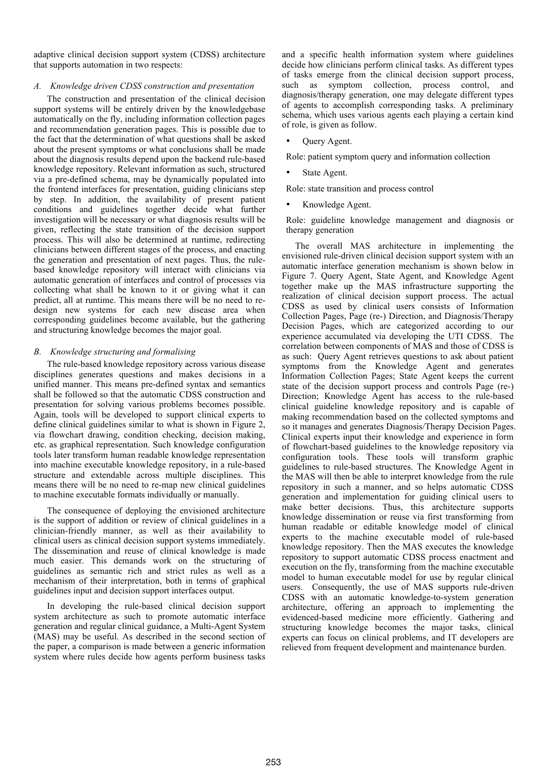adaptive clinical decision support system (CDSS) architecture that supports automation in two respects:

# *A. Knowledge driven CDSS construction and presentation*

The construction and presentation of the clinical decision support systems will be entirely driven by the knowledgebase automatically on the fly, including information collection pages and recommendation generation pages. This is possible due to the fact that the determination of what questions shall be asked about the present symptoms or what conclusions shall be made about the diagnosis results depend upon the backend rule-based knowledge repository. Relevant information as such, structured via a pre-defined schema, may be dynamically populated into the frontend interfaces for presentation, guiding clinicians step by step. In addition, the availability of present patient conditions and guidelines together decide what further investigation will be necessary or what diagnosis results will be given, reflecting the state transition of the decision support process. This will also be determined at runtime, redirecting clinicians between different stages of the process, and enacting the generation and presentation of next pages. Thus, the rulebased knowledge repository will interact with clinicians via automatic generation of interfaces and control of processes via collecting what shall be known to it or giving what it can predict, all at runtime. This means there will be no need to redesign new systems for each new disease area when corresponding guidelines become available, but the gathering and structuring knowledge becomes the major goal.

# *B. Knowledge structuring and formalising*

The rule-based knowledge repository across various disease disciplines generates questions and makes decisions in a unified manner. This means pre-defined syntax and semantics shall be followed so that the automatic CDSS construction and presentation for solving various problems becomes possible. Again, tools will be developed to support clinical experts to define clinical guidelines similar to what is shown in Figure 2, via flowchart drawing, condition checking, decision making, etc. as graphical representation. Such knowledge configuration tools later transform human readable knowledge representation into machine executable knowledge repository, in a rule-based structure and extendable across multiple disciplines. This means there will be no need to re-map new clinical guidelines to machine executable formats individually or manually.

The consequence of deploying the envisioned architecture is the support of addition or review of clinical guidelines in a clinician-friendly manner, as well as their availability to clinical users as clinical decision support systems immediately. The dissemination and reuse of clinical knowledge is made much easier. This demands work on the structuring of guidelines as semantic rich and strict rules as well as a mechanism of their interpretation, both in terms of graphical guidelines input and decision support interfaces output.

In developing the rule-based clinical decision support system architecture as such to promote automatic interface generation and regular clinical guidance, a Multi-Agent System (MAS) may be useful. As described in the second section of the paper, a comparison is made between a generic information system where rules decide how agents perform business tasks and a specific health information system where guidelines decide how clinicians perform clinical tasks. As different types of tasks emerge from the clinical decision support process, such as symptom collection, process control, and diagnosis/therapy generation, one may delegate different types of agents to accomplish corresponding tasks. A preliminary schema, which uses various agents each playing a certain kind of role, is given as follow.

• Query Agent.

Role: patient symptom query and information collection

State Agent.

Role: state transition and process control

Knowledge Agent.

Role: guideline knowledge management and diagnosis or therapy generation

The overall MAS architecture in implementing the envisioned rule-driven clinical decision support system with an automatic interface generation mechanism is shown below in Figure 7. Query Agent, State Agent, and Knowledge Agent together make up the MAS infrastructure supporting the realization of clinical decision support process. The actual CDSS as used by clinical users consists of Information Collection Pages, Page (re-) Direction, and Diagnosis/Therapy Decision Pages, which are categorized according to our experience accumulated via developing the UTI CDSS. The correlation between components of MAS and those of CDSS is as such: Query Agent retrieves questions to ask about patient symptoms from the Knowledge Agent and generates Information Collection Pages; State Agent keeps the current state of the decision support process and controls Page (re-) Direction; Knowledge Agent has access to the rule-based clinical guideline knowledge repository and is capable of making recommendation based on the collected symptoms and so it manages and generates Diagnosis/Therapy Decision Pages. Clinical experts input their knowledge and experience in form of flowchart-based guidelines to the knowledge repository via configuration tools. These tools will transform graphic guidelines to rule-based structures. The Knowledge Agent in the MAS will then be able to interpret knowledge from the rule repository in such a manner, and so helps automatic CDSS generation and implementation for guiding clinical users to make better decisions. Thus, this architecture supports knowledge dissemination or reuse via first transforming from human readable or editable knowledge model of clinical experts to the machine executable model of rule-based knowledge repository. Then the MAS executes the knowledge repository to support automatic CDSS process enactment and execution on the fly, transforming from the machine executable model to human executable model for use by regular clinical users. Consequently, the use of MAS supports rule-driven CDSS with an automatic knowledge-to-system generation architecture, offering an approach to implementing the evidenced-based medicine more efficiently. Gathering and structuring knowledge becomes the major tasks, clinical experts can focus on clinical problems, and IT developers are relieved from frequent development and maintenance burden.